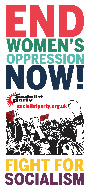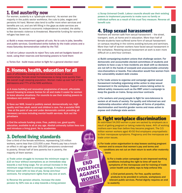### 1. End austerity now

For women, austerity is a 'quadruple whammy'. As women are the majority in the public sector workforce, the cuts to jobs, wages and pensions hit hard. Women also tend to suffer more when services and benefits are cut, and are left filling in the gaps as state services are withdrawn. As women's economic independence is eroded, the ability to flee domestic violence is threatened. Meanwhile funding for women's refuges has been cut.

a) Build a mass movement against all cuts. No to cuts in jobs, benefits and public services. Coordinated strike ballots by the trade unions and a mass Saturday demonstration called by the TUC

b) Call on Labour councils to reject Tory cuts and set budgets based on need, using their reserves and borrowing powers to fund them

c) Tories Out - build mass action to fight for a general election now!

#### 2. Homes, health, education for all

Lack of affordable housing can force women to stay in abusive relationships. Female street homelessness is rising more quickly than the overall rough sleeping population. Women make up over half of NHS admissions and 77% of the NHS workforce.

a) A mass building and renovation programme of decent, affordable council housing to ensure homes for all and make it easier for women to leave abusive situations. For councils to use their existing powers to introduce rent control now

b) Save our NHS. Invest in publicly owned, democratically run, high quality and free adult, social and children's care. For a socialist NHS - free at the point of use and under democratic control, providing all necessary services including mental health services. Kick out the privatisers

c) End the schools funding crisis. Free, publicly run, good quality education, available to all at any age. Abolish university tuition fees now and introduce a living grant. No to academies

## 3. Defend living standards

Over a third of the female workforce, representing 3.6 million workers, earns less than £15,000 a year. Poverty pay has a knockon effect in old age with over 300,000 pensioners condemned to poverty. Almost half of lone parents live in poverty, the majority of them women.

END

VIOLENCE

AGAINST

WOMEN

a) Trade union struggle to increase the minimum wage to £10 an hour without exemptions as an immediate step towards a real living wage. For an annual increase in the minimum wage linked to average earnings. A maximum 35-hour week with no loss of pay. Scrap zero-hour contracts. For employment rights from day one at work.

b) Reverse the pension attacks. Increase the state pension by 50% now as a step towards a living pension c) Scrap Universal Credit. Labour councils should use their existing powers to implement payments to make sure no family or individual suffers as a result of this cruel Tory measure. Reverse all benefit cuts

### 4. Stop sexual harassment

Nowhere are women safe from sexual harassment – the street, transport, work, at home and in education. More than half of female students have suffered some form of sexual harassment on campus resulting in the victims avoiding lectures and seminars. More than half of women workers have faced sexual harassment in the workplace. Resisting sexual harassment at work is even more difficult on a zero-hour contract.

a) Build campaigning student unions that challenge sexism. For democratic and accountable elected committees of students and workers to have a say in how incidents are dealt with so decisions are not left in the hands of overpaid and unaccountable university vice-chancellors or boards. Free education would free women from the vulnerability student debt creates

b) For trade unions to organise and campaign against sexual harassment including organising strike action to stop sexual harassment in the workplace. Support unions taking action to defend safety measures such as the RMT union's campaign to keep the guards on trains. Scrap zero-hour contracts

c) For workers and young people to fight for zero-tolerance to sexism at all levels of society: For quality and informed sex and relationship education which challenges all forms of prejudice, discrimination and harmful gender norms and mass action to expose and challenge state sexism

#### 5. Fight workplace discrimination

An estimated 54,000 women a year are sacked by employers as a result of getting pregnant or taking maternity leave. 44% of working mothers earn less than before they became pregnant. The 3.5 million women workers aged 40-50 find employers unsympathetic to their menopause symptoms. Pregnancy and the menopause are trade union issues.

a) For trade union organisation to stop bosses sacking pregnant women and to ensure that women's pay and terms and conditions are not cut on their return to work after maternity leave

> b) For a trade union campaign to win improved working conditions including the right to time off work for symptoms of the menopause and for training of trade union health and safety reps to help enforce this

c) End period poverty. For free, quality sanitary products to be provided in schools, workplaces and relevant public services. Period dignity requires an end to austerity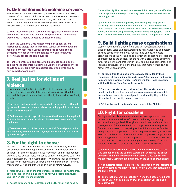### 6. Defend domestic violence services

Every week two women are killed by a partner or ex-partner. Every day over 90 women and 94 children are turned away from domestic violence services because of funding cuts, closures and lack of affordable housing. A fundamental change in how society is run is needed to end violence against women altogether.

a) Build local and national campaigns to fight cuts including calling on councils to set no-cuts budgets - the prerequisite for providing women with a means to escape domestic violence

b) Back the Women's Lives Matter campaign appeal to John McDonnell to pledge that an incoming Labour government would replenish any reserves a Labour council used to avoid cuts to domestic violence services and refuges now and underwrite borrowing made for the same purpose

c) Fight for democratic and accountable services specialised to suit the needs those fleeing domestic violence. Privatised services should be council-run with democratic accountability to and by service workers and users

## 7. Real justice for victims of violence

It is estimated that in Britain only 15% of all rapes are reported to the police, and only 7% of those result in conviction. Of all the women killed globally almost half are killed by their partners or family members.

a) Increased and improved services to help those women affected by domestic violence, rape and abuse, including paid time off from work to access support

b) Re-instate access to legal aid. Increase the threshold for legal aid so that all women can access it for divorce cases. No to enforced mediation

c) Take the courts out of the hands of the 1%! Campaign for police accountability and the election of judges under democratic control by the working class

# 8. For the right to choose

Although the 1967 Abortion Act was an important victory, women are still denied the real right to choose when and whether to have children. In Northern Ireland a mass movement and an independent working-class political voice is needed to fight for access to safe, free and legal abortion. The housing crisis, low pay and lack of affordable childcare can make having children a more difficult choice. Austerity means that 37% of children will be living in poverty by 2024.

a) Mass struggle, led by the trade unions, to defend the right to free, safe and legal abortion. End the need for two doctors' signatures. End the Northern Ireland exception

Nationalise big Pharma and fund research into safer, more effective contraception and the right to fertility treatment on the NHS - no to rationing of IVF.

c) End maternal and child poverty. Reinstate pregnancy grants, maternity and child benefit for all and end the government's twochild policy on tax credits and Universal Credit. Raise benefit levels to reflect the real cost of pregnancy, childbirth and bringing up a child. Fight for free, flexible childcare. For the right to paid parental leave

# 9. Build fighting mass organisations

Women need fighting trade unions and an independent working class political voice against austerity and fighting for jobs and better pay and terms and conditions. For the trade unions, the basic organisations of the working class in which our collective interests are counterposed to the bosses, this starts with a programme of fighting cuts, resisting the anti-trade union laws, and building democratic and inclusive structures. This is the main way that more women can be drawn into union activism.

a) For fighting trade unions, democratically controlled by their members. Full-time union officials to be regularly elected and receive no more than a worker's wage. Organise militant trade unionists with the National Shop Stewards Network

b) For a mass workers' party - drawing together workers, young people and activists from workplace, community, environmental, anti-racist and anti-cuts campaigns, to provide a fighting, political alternative to the pro-big business parties.

c) Fight for Labour to be transformed: deselect the Blairites!

## 10. Fight for socialism

Ending violence, discrimination and oppression against women requires a fundamental transformation in the way that society is structured and organised. Through democratic workers' control and management of the major banks and corporations - moving away from a system based on inequality and exploitation to one founded on equality and co-operation - it would be possible to not just end the economic problems which women face, but to prepare the ground for eliminating sexism and cultural oppression too. Movements towards collective action by workers, including the vital building of a mass workers' party will be critical steps in the struggle for socialism.

a) For a socialist government to take into public ownership the top 150 companies and the banking system that dominate the British economy - run them under democratic working-class control and management. Compensation paid only on the basis of proven need

b) A democratic socialist plan of production based on the interests of the overwhelming majority of people, and in a way that safeguards the environment

c) For international workers' solidarity! No to the bosses' neoliberal European Union and single market. For a socialist Europe and a socialist world!

b) Access to free fertility treatment on the NHS for all who need it.